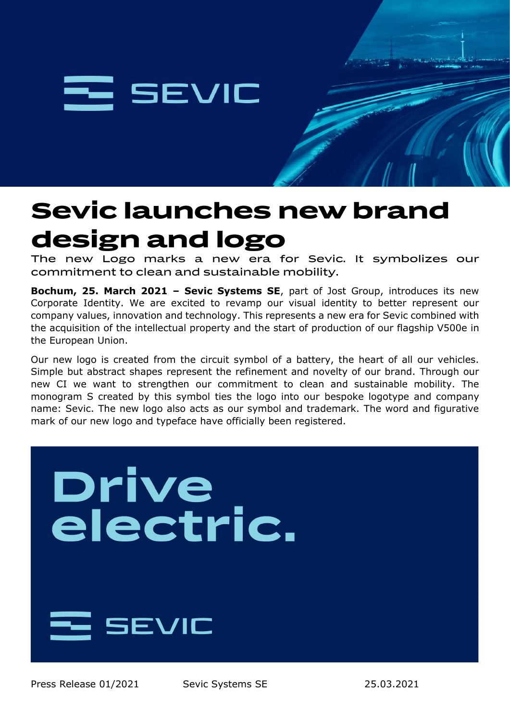

# **Sevic launches new brand** design and logo

The new Logo marks a new era for Sevic. It symbolizes our commitment to clean and sustainable mobility.

**Bochum, 25. March 2021 – Sevic Systems SE**, part of Jost Group, introduces its new Corporate Identity. We are excited to revamp our visual identity to better represent our company values, innovation and technology. This represents a new era for Sevic combined with the acquisition of the intellectual property and the start of production of our flagship V500e in the European Union.

Our new logo is created from the circuit symbol of a battery, the heart of all our vehicles. Simple but abstract shapes represent the refinement and novelty of our brand. Through our new CI we want to strengthen our commitment to clean and sustainable mobility. The monogram S created by this symbol ties the logo into our bespoke logotype and company name: Sevic. The new logo also acts as our symbol and trademark. The word and figurative mark of our new logo and typeface have officially been registered.

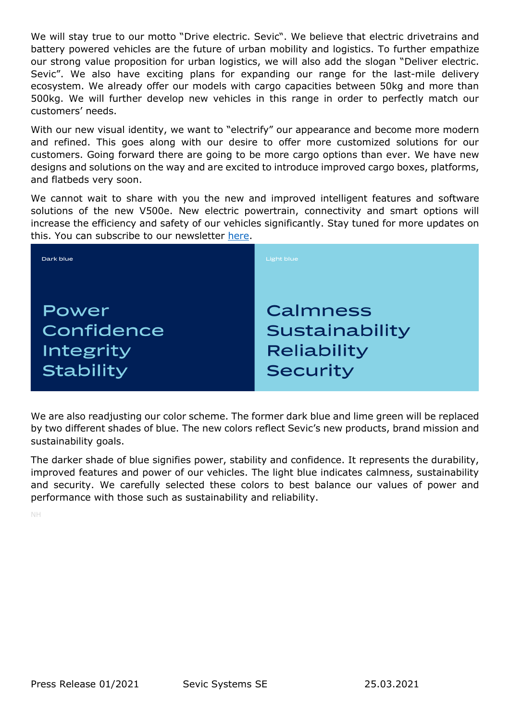We will stay true to our motto "Drive electric. Sevic". We believe that electric drivetrains and battery powered vehicles are the future of urban mobility and logistics. To further empathize our strong value proposition for urban logistics, we will also add the slogan "Deliver electric. Sevic". We also have exciting plans for expanding our range for the last-mile delivery ecosystem. We already offer our models with cargo capacities between 50kg and more than 500kg. We will further develop new vehicles in this range in order to perfectly match our customers' needs.

With our new visual identity, we want to "electrify" our appearance and become more modern and refined. This goes along with our desire to offer more customized solutions for our customers. Going forward there are going to be more cargo options than ever. We have new designs and solutions on the way and are excited to introduce improved cargo boxes, platforms, and flatbeds very soon.

We cannot wait to share with you the new and improved intelligent features and software solutions of the new V500e. New electric powertrain, connectivity and smart options will increase the efficiency and safety of our vehicles significantly. Stay tuned for more updates on this. You can subscribe to our newsletter [here.](https://sevic-emobility.eu/en/news/p/145-sevic-launches-new-brand-design-and-logo)



We are also readjusting our color scheme. The former dark blue and lime green will be replaced by two different shades of blue. The new colors reflect Sevic's new products, brand mission and sustainability goals.

The darker shade of blue signifies power, stability and confidence. It represents the durability, improved features and power of our vehicles. The light blue indicates calmness, sustainability and security. We carefully selected these colors to best balance our values of power and performance with those such as sustainability and reliability.

NH